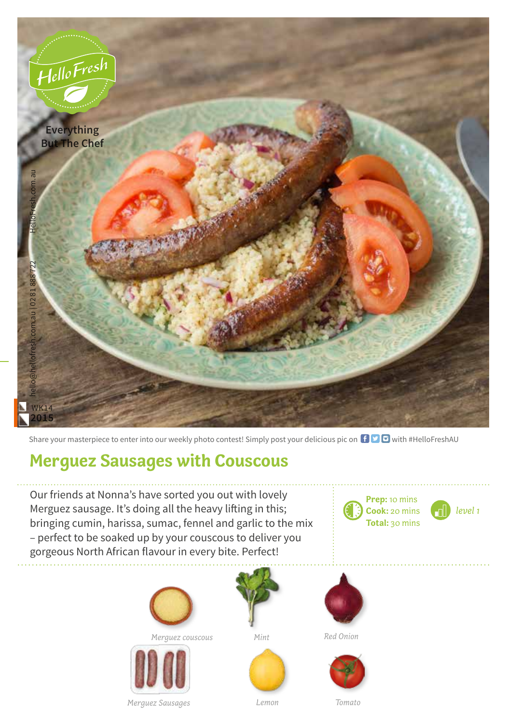

Share your masterpiece to enter into our weekly photo contest! Simply post your delicious pic on  $\bigoplus$   $\bigoplus$  with #HelloFreshAU

## **Merguez Sausages with Couscous**

Our friends at Nonna's have sorted you out with lovely Merguez sausage. It's doing all the heavy lifting in this; bringing cumin, harissa, sumac, fennel and garlic to the mix – perfect to be soaked up by your couscous to deliver you gorgeous North African flavour in every bite. Perfect!







*Red Onion*







**Prep:** 10 mins

*level 1*





*Merguez Sausages*